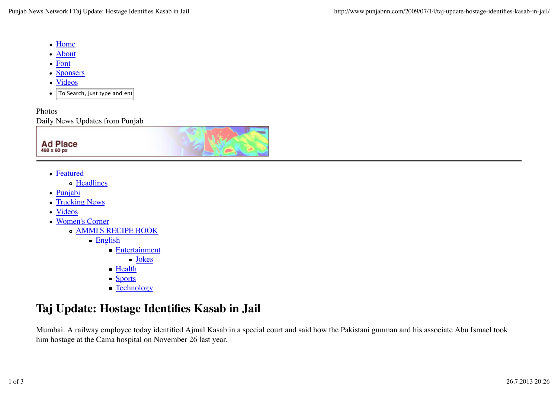- Home
- About
- Font
- Sponsers
- Videos
- To Search, just type and  $ent$  $\bullet$

Photos Daily News Updates from Punjab



- Featured
	- o Headlines
- Punjabi
- Trucking News
- Videos
- Women's Corner
	- AMMI'S RECIPE BOOK
		- English
			- **Entertainment** 
				- Jokes
			- **Health**
			- **Sports**
			- **Technology**

## **Taj Update: Hostage Identifies Kasab in Jail**

Mumbai: A railway employee today identified Ajmal Kasab in a special court and said how the Pakistani gunman and his associate Abu Ismael took him hostage at the Cama hospital on November 26 last year.